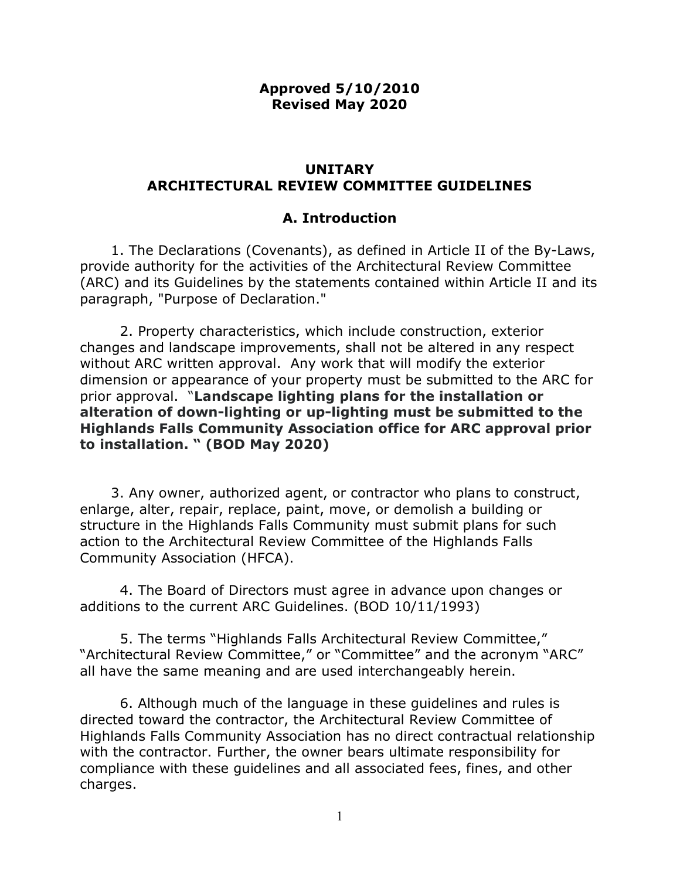#### Approved 5/10/2010 Revised May 2020

#### UNITARY ARCHITECTURAL REVIEW COMMITTEE GUIDELINES

#### A. Introduction

 1. The Declarations (Covenants), as defined in Article II of the By-Laws, provide authority for the activities of the Architectural Review Committee (ARC) and its Guidelines by the statements contained within Article II and its paragraph, "Purpose of Declaration."

 2. Property characteristics, which include construction, exterior changes and landscape improvements, shall not be altered in any respect without ARC written approval. Any work that will modify the exterior dimension or appearance of your property must be submitted to the ARC for prior approval. "Landscape lighting plans for the installation or alteration of down-lighting or up-lighting must be submitted to the Highlands Falls Community Association office for ARC approval prior to installation. " (BOD May 2020)

 3. Any owner, authorized agent, or contractor who plans to construct, enlarge, alter, repair, replace, paint, move, or demolish a building or structure in the Highlands Falls Community must submit plans for such action to the Architectural Review Committee of the Highlands Falls Community Association (HFCA).

 4. The Board of Directors must agree in advance upon changes or additions to the current ARC Guidelines. (BOD 10/11/1993)

 5. The terms "Highlands Falls Architectural Review Committee," "Architectural Review Committee," or "Committee" and the acronym "ARC" all have the same meaning and are used interchangeably herein.

 6. Although much of the language in these guidelines and rules is directed toward the contractor, the Architectural Review Committee of Highlands Falls Community Association has no direct contractual relationship with the contractor. Further, the owner bears ultimate responsibility for compliance with these guidelines and all associated fees, fines, and other charges.

1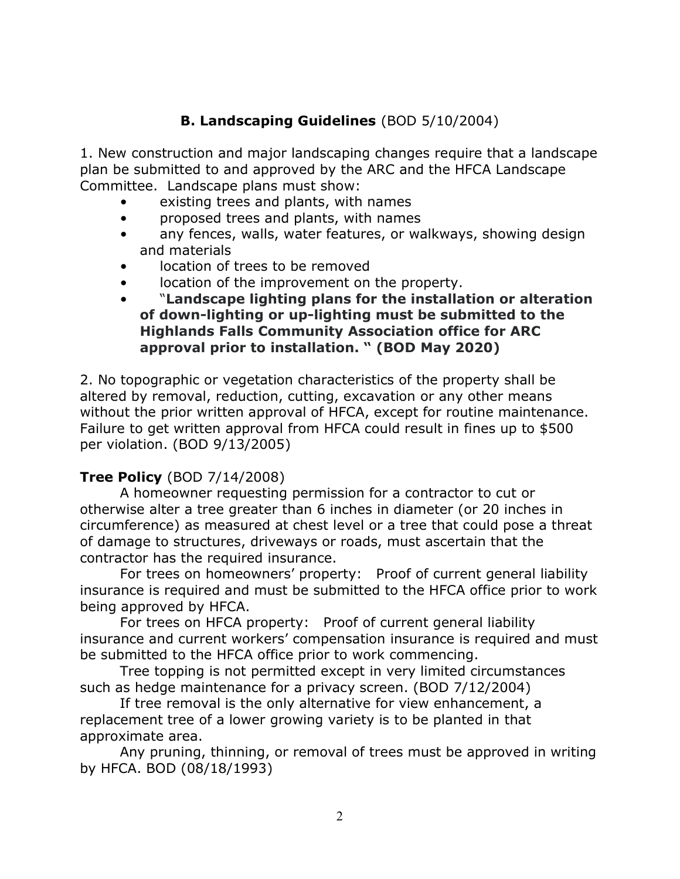# B. Landscaping Guidelines (BOD 5/10/2004)

1. New construction and major landscaping changes require that a landscape plan be submitted to and approved by the ARC and the HFCA Landscape Committee. Landscape plans must show:

- existing trees and plants, with names
- proposed trees and plants, with names
- any fences, walls, water features, or walkways, showing design and materials
- location of trees to be removed
- location of the improvement on the property.
- "Landscape lighting plans for the installation or alteration of down-lighting or up-lighting must be submitted to the Highlands Falls Community Association office for ARC approval prior to installation. " (BOD May 2020)

2. No topographic or vegetation characteristics of the property shall be altered by removal, reduction, cutting, excavation or any other means without the prior written approval of HFCA, except for routine maintenance. Failure to get written approval from HFCA could result in fines up to \$500 per violation. (BOD 9/13/2005)

# Tree Policy (BOD 7/14/2008)

 A homeowner requesting permission for a contractor to cut or otherwise alter a tree greater than 6 inches in diameter (or 20 inches in circumference) as measured at chest level or a tree that could pose a threat of damage to structures, driveways or roads, must ascertain that the contractor has the required insurance.

 For trees on homeowners' property: Proof of current general liability insurance is required and must be submitted to the HFCA office prior to work being approved by HFCA.

 For trees on HFCA property: Proof of current general liability insurance and current workers' compensation insurance is required and must be submitted to the HFCA office prior to work commencing.

 Tree topping is not permitted except in very limited circumstances such as hedge maintenance for a privacy screen. (BOD 7/12/2004)

 If tree removal is the only alternative for view enhancement, a replacement tree of a lower growing variety is to be planted in that approximate area.

 Any pruning, thinning, or removal of trees must be approved in writing by HFCA. BOD (08/18/1993)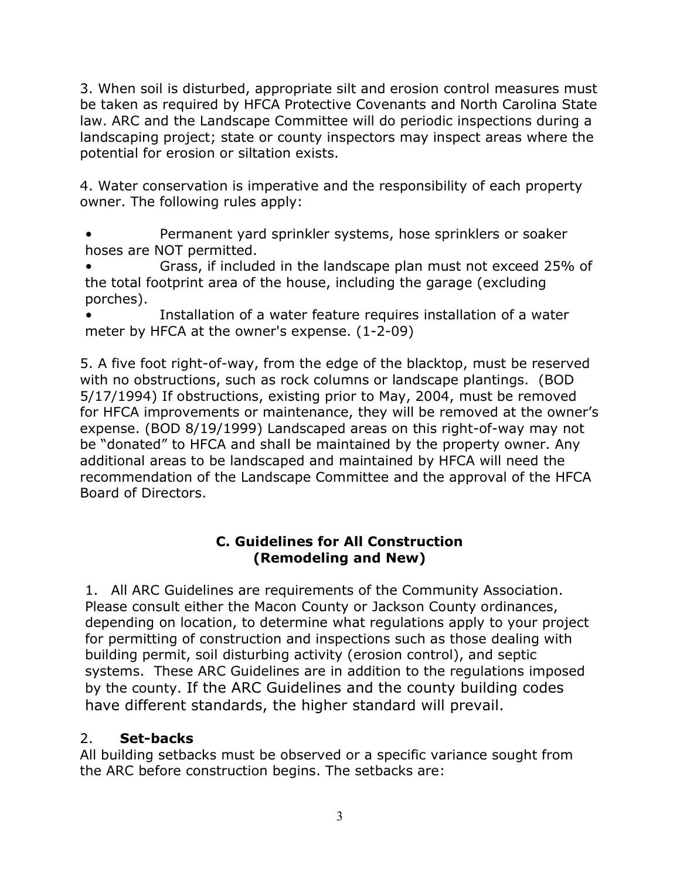3. When soil is disturbed, appropriate silt and erosion control measures must be taken as required by HFCA Protective Covenants and North Carolina State law. ARC and the Landscape Committee will do periodic inspections during a landscaping project; state or county inspectors may inspect areas where the potential for erosion or siltation exists.

4. Water conservation is imperative and the responsibility of each property owner. The following rules apply:

• Permanent yard sprinkler systems, hose sprinklers or soaker hoses are NOT permitted.

• Grass, if included in the landscape plan must not exceed 25% of the total footprint area of the house, including the garage (excluding porches).

Installation of a water feature requires installation of a water meter by HFCA at the owner's expense. (1-2-09)

5. A five foot right-of-way, from the edge of the blacktop, must be reserved with no obstructions, such as rock columns or landscape plantings. (BOD 5/17/1994) If obstructions, existing prior to May, 2004, must be removed for HFCA improvements or maintenance, they will be removed at the owner's expense. (BOD 8/19/1999) Landscaped areas on this right-of-way may not be "donated" to HFCA and shall be maintained by the property owner. Any additional areas to be landscaped and maintained by HFCA will need the recommendation of the Landscape Committee and the approval of the HFCA Board of Directors.

# C. Guidelines for All Construction (Remodeling and New)

1. All ARC Guidelines are requirements of the Community Association. Please consult either the Macon County or Jackson County ordinances, depending on location, to determine what regulations apply to your project for permitting of construction and inspections such as those dealing with building permit, soil disturbing activity (erosion control), and septic systems. These ARC Guidelines are in addition to the regulations imposed by the county. If the ARC Guidelines and the county building codes have different standards, the higher standard will prevail.

# 2. Set-backs

All building setbacks must be observed or a specific variance sought from the ARC before construction begins. The setbacks are: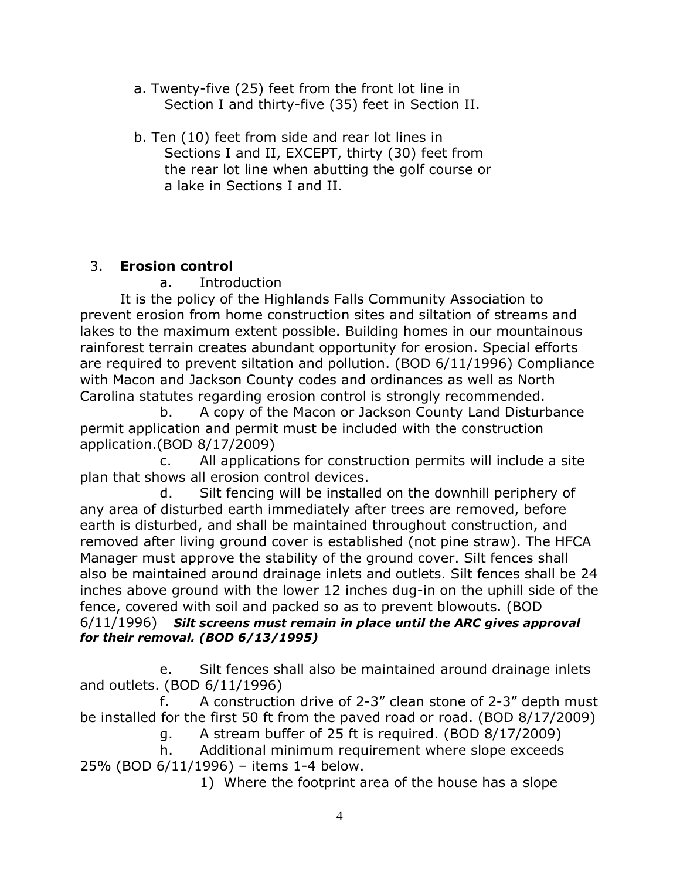- a. Twenty-five (25) feet from the front lot line in Section I and thirty-five (35) feet in Section II.
- b. Ten (10) feet from side and rear lot lines in Sections I and II, EXCEPT, thirty (30) feet from the rear lot line when abutting the golf course or a lake in Sections I and II.

# 3. Erosion control

# a. Introduction

 It is the policy of the Highlands Falls Community Association to prevent erosion from home construction sites and siltation of streams and lakes to the maximum extent possible. Building homes in our mountainous rainforest terrain creates abundant opportunity for erosion. Special efforts are required to prevent siltation and pollution. (BOD 6/11/1996) Compliance with Macon and Jackson County codes and ordinances as well as North Carolina statutes regarding erosion control is strongly recommended.

 b. A copy of the Macon or Jackson County Land Disturbance permit application and permit must be included with the construction application.(BOD 8/17/2009)

 c. All applications for construction permits will include a site plan that shows all erosion control devices.

 d. Silt fencing will be installed on the downhill periphery of any area of disturbed earth immediately after trees are removed, before earth is disturbed, and shall be maintained throughout construction, and removed after living ground cover is established (not pine straw). The HFCA Manager must approve the stability of the ground cover. Silt fences shall also be maintained around drainage inlets and outlets. Silt fences shall be 24 inches above ground with the lower 12 inches dug-in on the uphill side of the fence, covered with soil and packed so as to prevent blowouts. (BOD  $6/11/1996$ ) Silt screens must remain in place until the ARC gives approval for their removal. (BOD 6/13/1995)

 e. Silt fences shall also be maintained around drainage inlets and outlets. (BOD 6/11/1996)

 f. A construction drive of 2-3" clean stone of 2-3" depth must be installed for the first 50 ft from the paved road or road. (BOD 8/17/2009)

- g. A stream buffer of 25 ft is required. (BOD 8/17/2009)
- h. Additional minimum requirement where slope exceeds 25% (BOD 6/11/1996) – items 1-4 below.

1) Where the footprint area of the house has a slope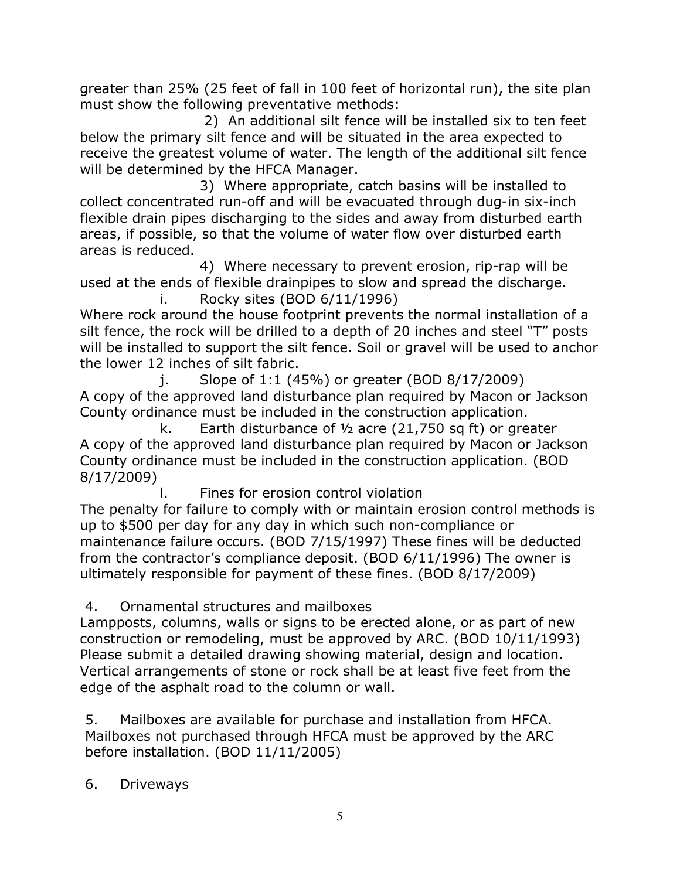greater than 25% (25 feet of fall in 100 feet of horizontal run), the site plan must show the following preventative methods:

 2) An additional silt fence will be installed six to ten feet below the primary silt fence and will be situated in the area expected to receive the greatest volume of water. The length of the additional silt fence will be determined by the HFCA Manager.

 3) Where appropriate, catch basins will be installed to collect concentrated run-off and will be evacuated through dug-in six-inch flexible drain pipes discharging to the sides and away from disturbed earth areas, if possible, so that the volume of water flow over disturbed earth areas is reduced.

 4) Where necessary to prevent erosion, rip-rap will be used at the ends of flexible drainpipes to slow and spread the discharge. i. Rocky sites (BOD 6/11/1996)

Where rock around the house footprint prevents the normal installation of a silt fence, the rock will be drilled to a depth of 20 inches and steel "T" posts will be installed to support the silt fence. Soil or gravel will be used to anchor the lower 12 inches of silt fabric.

 $j.$  Slope of 1:1 (45%) or greater (BOD 8/17/2009) A copy of the approved land disturbance plan required by Macon or Jackson County ordinance must be included in the construction application.

k. Earth disturbance of  $\frac{1}{2}$  acre (21,750 sq ft) or greater A copy of the approved land disturbance plan required by Macon or Jackson County ordinance must be included in the construction application. (BOD 8/17/2009)

l. Fines for erosion control violation

The penalty for failure to comply with or maintain erosion control methods is up to \$500 per day for any day in which such non-compliance or maintenance failure occurs. (BOD 7/15/1997) These fines will be deducted from the contractor's compliance deposit. (BOD 6/11/1996) The owner is ultimately responsible for payment of these fines. (BOD 8/17/2009)

# 4. Ornamental structures and mailboxes

Lampposts, columns, walls or signs to be erected alone, or as part of new construction or remodeling, must be approved by ARC. (BOD 10/11/1993) Please submit a detailed drawing showing material, design and location. Vertical arrangements of stone or rock shall be at least five feet from the edge of the asphalt road to the column or wall.

5. Mailboxes are available for purchase and installation from HFCA. Mailboxes not purchased through HFCA must be approved by the ARC before installation. (BOD 11/11/2005)

6. Driveways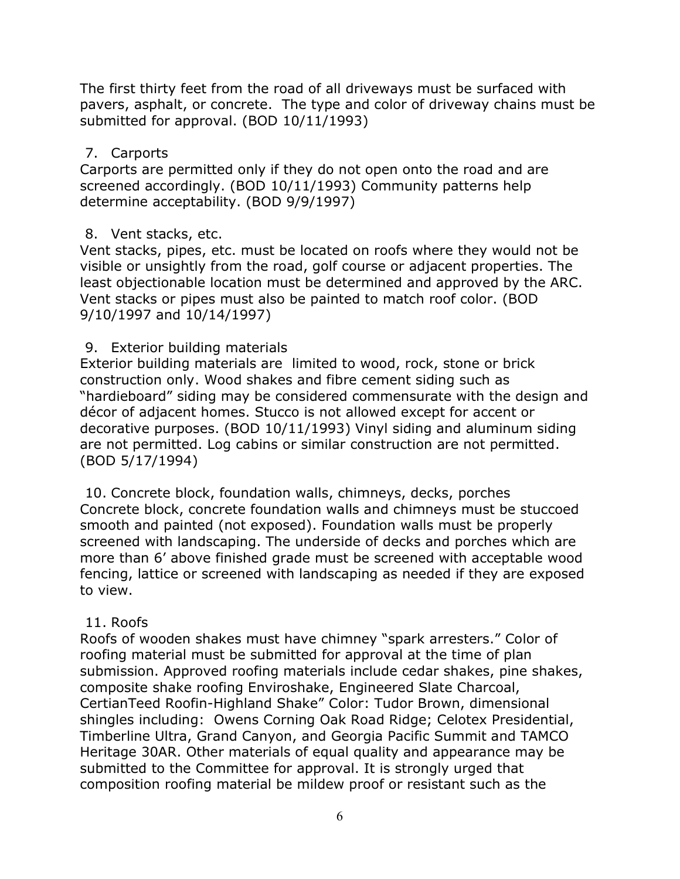The first thirty feet from the road of all driveways must be surfaced with pavers, asphalt, or concrete. The type and color of driveway chains must be submitted for approval. (BOD 10/11/1993)

#### 7. Carports

Carports are permitted only if they do not open onto the road and are screened accordingly. (BOD 10/11/1993) Community patterns help determine acceptability. (BOD 9/9/1997)

# 8. Vent stacks, etc.

Vent stacks, pipes, etc. must be located on roofs where they would not be visible or unsightly from the road, golf course or adjacent properties. The least objectionable location must be determined and approved by the ARC. Vent stacks or pipes must also be painted to match roof color. (BOD 9/10/1997 and 10/14/1997)

# 9. Exterior building materials

Exterior building materials are limited to wood, rock, stone or brick construction only. Wood shakes and fibre cement siding such as "hardieboard" siding may be considered commensurate with the design and décor of adjacent homes. Stucco is not allowed except for accent or decorative purposes. (BOD 10/11/1993) Vinyl siding and aluminum siding are not permitted. Log cabins or similar construction are not permitted. (BOD 5/17/1994)

10. Concrete block, foundation walls, chimneys, decks, porches Concrete block, concrete foundation walls and chimneys must be stuccoed smooth and painted (not exposed). Foundation walls must be properly screened with landscaping. The underside of decks and porches which are more than 6' above finished grade must be screened with acceptable wood fencing, lattice or screened with landscaping as needed if they are exposed to view.

# 11. Roofs

Roofs of wooden shakes must have chimney "spark arresters." Color of roofing material must be submitted for approval at the time of plan submission. Approved roofing materials include cedar shakes, pine shakes, composite shake roofing Enviroshake, Engineered Slate Charcoal, CertianTeed Roofin-Highland Shake" Color: Tudor Brown, dimensional shingles including: Owens Corning Oak Road Ridge; Celotex Presidential, Timberline Ultra, Grand Canyon, and Georgia Pacific Summit and TAMCO Heritage 30AR. Other materials of equal quality and appearance may be submitted to the Committee for approval. It is strongly urged that composition roofing material be mildew proof or resistant such as the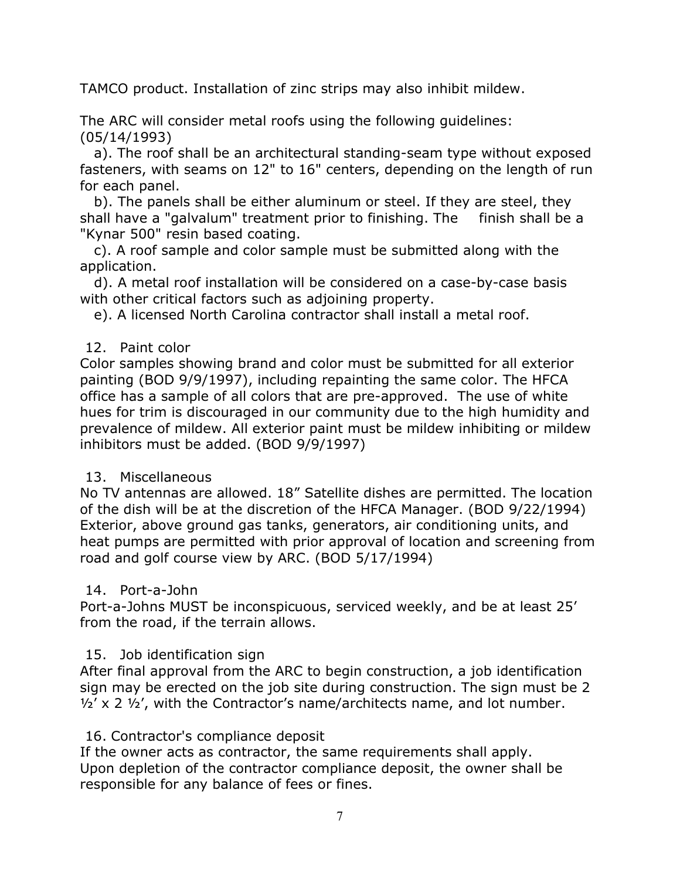TAMCO product. Installation of zinc strips may also inhibit mildew.

The ARC will consider metal roofs using the following guidelines: (05/14/1993)

 a). The roof shall be an architectural standing-seam type without exposed fasteners, with seams on 12" to 16" centers, depending on the length of run for each panel.

 b). The panels shall be either aluminum or steel. If they are steel, they shall have a "galvalum" treatment prior to finishing. The finish shall be a "Kynar 500" resin based coating.

 c). A roof sample and color sample must be submitted along with the application.

 d). A metal roof installation will be considered on a case-by-case basis with other critical factors such as adjoining property.

e). A licensed North Carolina contractor shall install a metal roof.

#### 12. Paint color

Color samples showing brand and color must be submitted for all exterior painting (BOD 9/9/1997), including repainting the same color. The HFCA office has a sample of all colors that are pre-approved. The use of white hues for trim is discouraged in our community due to the high humidity and prevalence of mildew. All exterior paint must be mildew inhibiting or mildew inhibitors must be added. (BOD 9/9/1997)

#### 13. Miscellaneous

No TV antennas are allowed. 18" Satellite dishes are permitted. The location of the dish will be at the discretion of the HFCA Manager. (BOD 9/22/1994) Exterior, above ground gas tanks, generators, air conditioning units, and heat pumps are permitted with prior approval of location and screening from road and golf course view by ARC. (BOD 5/17/1994)

#### 14. Port-a-John

Port-a-Johns MUST be inconspicuous, serviced weekly, and be at least 25' from the road, if the terrain allows.

#### 15. Job identification sign

After final approval from the ARC to begin construction, a job identification sign may be erected on the job site during construction. The sign must be 2  $\frac{1}{2}$ ' x 2  $\frac{1}{2}$ ', with the Contractor's name/architects name, and lot number.

#### 16. Contractor's compliance deposit

If the owner acts as contractor, the same requirements shall apply. Upon depletion of the contractor compliance deposit, the owner shall be responsible for any balance of fees or fines.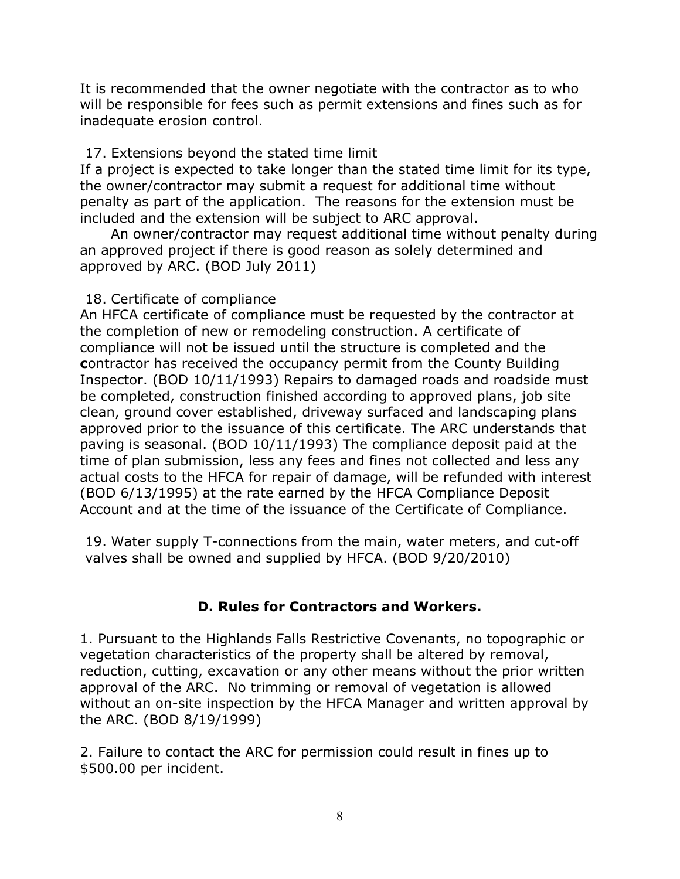It is recommended that the owner negotiate with the contractor as to who will be responsible for fees such as permit extensions and fines such as for inadequate erosion control.

#### 17. Extensions beyond the stated time limit

If a project is expected to take longer than the stated time limit for its type, the owner/contractor may submit a request for additional time without penalty as part of the application. The reasons for the extension must be included and the extension will be subject to ARC approval.

 An owner/contractor may request additional time without penalty during an approved project if there is good reason as solely determined and approved by ARC. (BOD July 2011)

#### 18. Certificate of compliance

An HFCA certificate of compliance must be requested by the contractor at the completion of new or remodeling construction. A certificate of compliance will not be issued until the structure is completed and the contractor has received the occupancy permit from the County Building Inspector. (BOD 10/11/1993) Repairs to damaged roads and roadside must be completed, construction finished according to approved plans, job site clean, ground cover established, driveway surfaced and landscaping plans approved prior to the issuance of this certificate. The ARC understands that paving is seasonal. (BOD 10/11/1993) The compliance deposit paid at the time of plan submission, less any fees and fines not collected and less any actual costs to the HFCA for repair of damage, will be refunded with interest (BOD 6/13/1995) at the rate earned by the HFCA Compliance Deposit Account and at the time of the issuance of the Certificate of Compliance.

19. Water supply T-connections from the main, water meters, and cut-off valves shall be owned and supplied by HFCA. (BOD 9/20/2010)

# D. Rules for Contractors and Workers.

1. Pursuant to the Highlands Falls Restrictive Covenants, no topographic or vegetation characteristics of the property shall be altered by removal, reduction, cutting, excavation or any other means without the prior written approval of the ARC. No trimming or removal of vegetation is allowed without an on-site inspection by the HFCA Manager and written approval by the ARC. (BOD 8/19/1999)

2. Failure to contact the ARC for permission could result in fines up to \$500.00 per incident.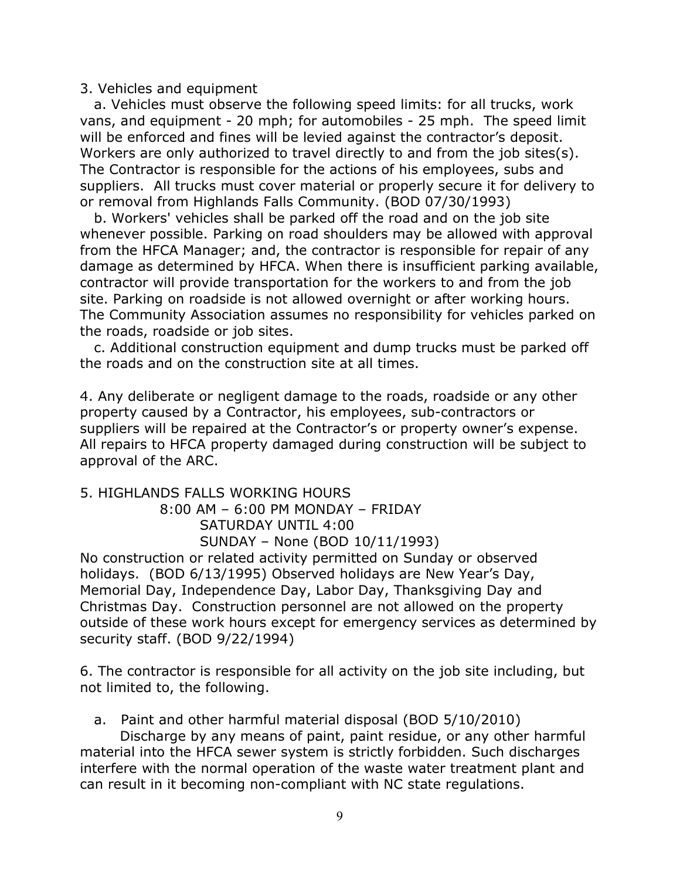#### 3. Vehicles and equipment

 a. Vehicles must observe the following speed limits: for all trucks, work vans, and equipment - 20 mph; for automobiles - 25 mph. The speed limit will be enforced and fines will be levied against the contractor's deposit. Workers are only authorized to travel directly to and from the job sites(s). The Contractor is responsible for the actions of his employees, subs and suppliers. All trucks must cover material or properly secure it for delivery to or removal from Highlands Falls Community. (BOD 07/30/1993)

 b. Workers' vehicles shall be parked off the road and on the job site whenever possible. Parking on road shoulders may be allowed with approval from the HFCA Manager; and, the contractor is responsible for repair of any damage as determined by HFCA. When there is insufficient parking available, contractor will provide transportation for the workers to and from the job site. Parking on roadside is not allowed overnight or after working hours. The Community Association assumes no responsibility for vehicles parked on the roads, roadside or job sites.

 c. Additional construction equipment and dump trucks must be parked off the roads and on the construction site at all times.

4. Any deliberate or negligent damage to the roads, roadside or any other property caused by a Contractor, his employees, sub-contractors or suppliers will be repaired at the Contractor's or property owner's expense. All repairs to HFCA property damaged during construction will be subject to approval of the ARC.

# 5. HIGHLANDS FALLS WORKING HOURS 8:00 AM – 6:00 PM MONDAY – FRIDAY SATURDAY UNTIL 4:00 SUNDAY – None (BOD 10/11/1993)

No construction or related activity permitted on Sunday or observed holidays. (BOD 6/13/1995) Observed holidays are New Year's Day, Memorial Day, Independence Day, Labor Day, Thanksgiving Day and Christmas Day. Construction personnel are not allowed on the property outside of these work hours except for emergency services as determined by security staff. (BOD 9/22/1994)

6. The contractor is responsible for all activity on the job site including, but not limited to, the following.

```
 a. Paint and other harmful material disposal (BOD 5/10/2010)
```
Discharge by any means of paint, paint residue, or any other harmful material into the HFCA sewer system is strictly forbidden. Such discharges interfere with the normal operation of the waste water treatment plant and can result in it becoming non-compliant with NC state regulations.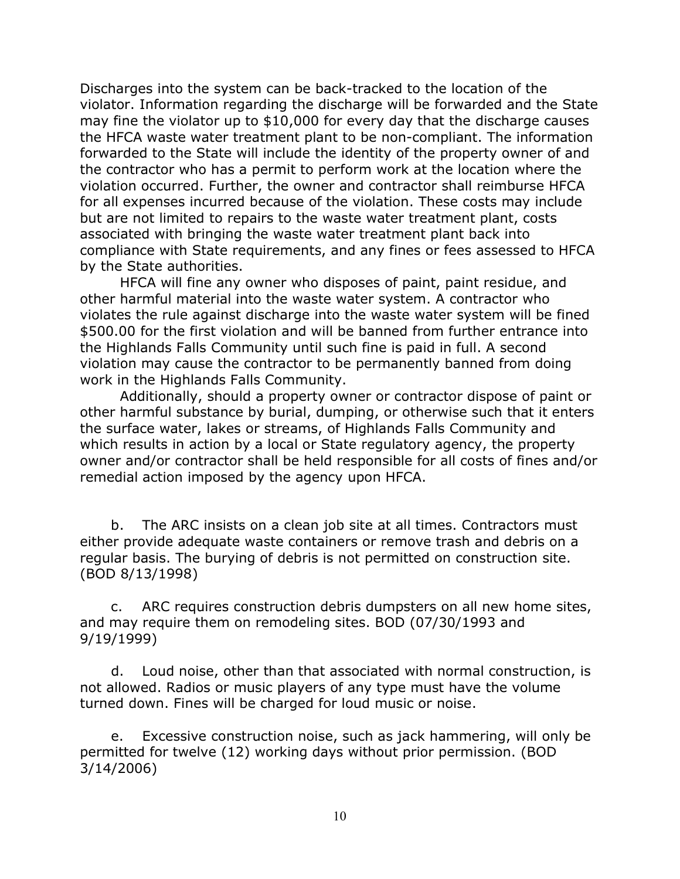Discharges into the system can be back-tracked to the location of the violator. Information regarding the discharge will be forwarded and the State may fine the violator up to \$10,000 for every day that the discharge causes the HFCA waste water treatment plant to be non-compliant. The information forwarded to the State will include the identity of the property owner of and the contractor who has a permit to perform work at the location where the violation occurred. Further, the owner and contractor shall reimburse HFCA for all expenses incurred because of the violation. These costs may include but are not limited to repairs to the waste water treatment plant, costs associated with bringing the waste water treatment plant back into compliance with State requirements, and any fines or fees assessed to HFCA by the State authorities.

 HFCA will fine any owner who disposes of paint, paint residue, and other harmful material into the waste water system. A contractor who violates the rule against discharge into the waste water system will be fined \$500.00 for the first violation and will be banned from further entrance into the Highlands Falls Community until such fine is paid in full. A second violation may cause the contractor to be permanently banned from doing work in the Highlands Falls Community.

 Additionally, should a property owner or contractor dispose of paint or other harmful substance by burial, dumping, or otherwise such that it enters the surface water, lakes or streams, of Highlands Falls Community and which results in action by a local or State regulatory agency, the property owner and/or contractor shall be held responsible for all costs of fines and/or remedial action imposed by the agency upon HFCA.

 b. The ARC insists on a clean job site at all times. Contractors must either provide adequate waste containers or remove trash and debris on a regular basis. The burying of debris is not permitted on construction site. (BOD 8/13/1998)

 c. ARC requires construction debris dumpsters on all new home sites, and may require them on remodeling sites. BOD (07/30/1993 and 9/19/1999)

 d. Loud noise, other than that associated with normal construction, is not allowed. Radios or music players of any type must have the volume turned down. Fines will be charged for loud music or noise.

 e. Excessive construction noise, such as jack hammering, will only be permitted for twelve (12) working days without prior permission. (BOD 3/14/2006)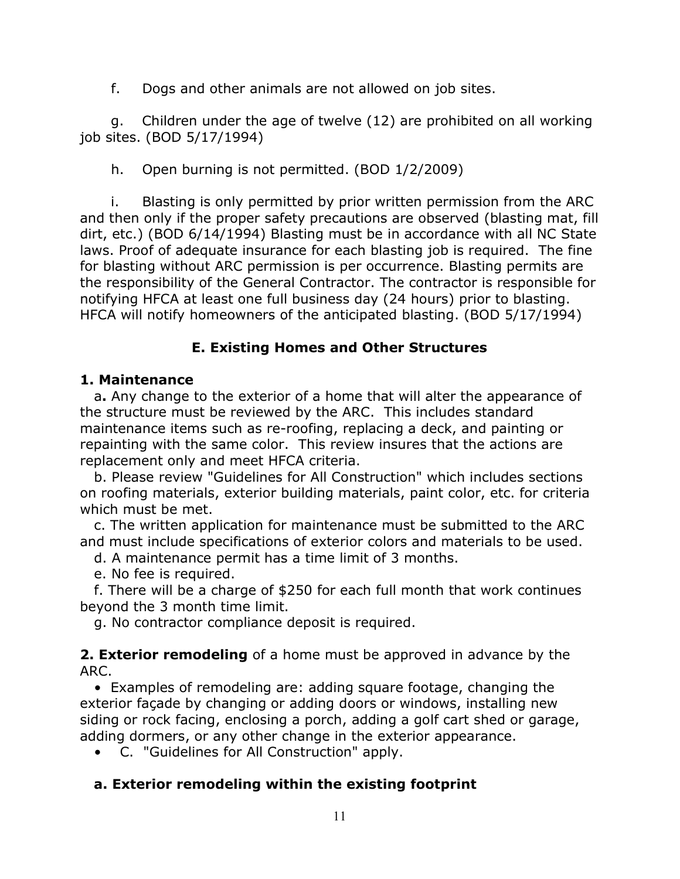f. Dogs and other animals are not allowed on job sites.

 g. Children under the age of twelve (12) are prohibited on all working job sites. (BOD 5/17/1994)

h. Open burning is not permitted. (BOD 1/2/2009)

 i. Blasting is only permitted by prior written permission from the ARC and then only if the proper safety precautions are observed (blasting mat, fill dirt, etc.) (BOD 6/14/1994) Blasting must be in accordance with all NC State laws. Proof of adequate insurance for each blasting job is required. The fine for blasting without ARC permission is per occurrence. Blasting permits are the responsibility of the General Contractor. The contractor is responsible for notifying HFCA at least one full business day (24 hours) prior to blasting. HFCA will notify homeowners of the anticipated blasting. (BOD 5/17/1994)

# E. Existing Homes and Other Structures

# 1. Maintenance

 a. Any change to the exterior of a home that will alter the appearance of the structure must be reviewed by the ARC. This includes standard maintenance items such as re-roofing, replacing a deck, and painting or repainting with the same color. This review insures that the actions are replacement only and meet HFCA criteria.

 b. Please review "Guidelines for All Construction" which includes sections on roofing materials, exterior building materials, paint color, etc. for criteria which must be met.

 c. The written application for maintenance must be submitted to the ARC and must include specifications of exterior colors and materials to be used.

d. A maintenance permit has a time limit of 3 months.

e. No fee is required.

 f. There will be a charge of \$250 for each full month that work continues beyond the 3 month time limit.

g. No contractor compliance deposit is required.

**2. Exterior remodeling** of a home must be approved in advance by the ARC.

 • Examples of remodeling are: adding square footage, changing the exterior façade by changing or adding doors or windows, installing new siding or rock facing, enclosing a porch, adding a golf cart shed or garage, adding dormers, or any other change in the exterior appearance.

• C. "Guidelines for All Construction" apply.

# a. Exterior remodeling within the existing footprint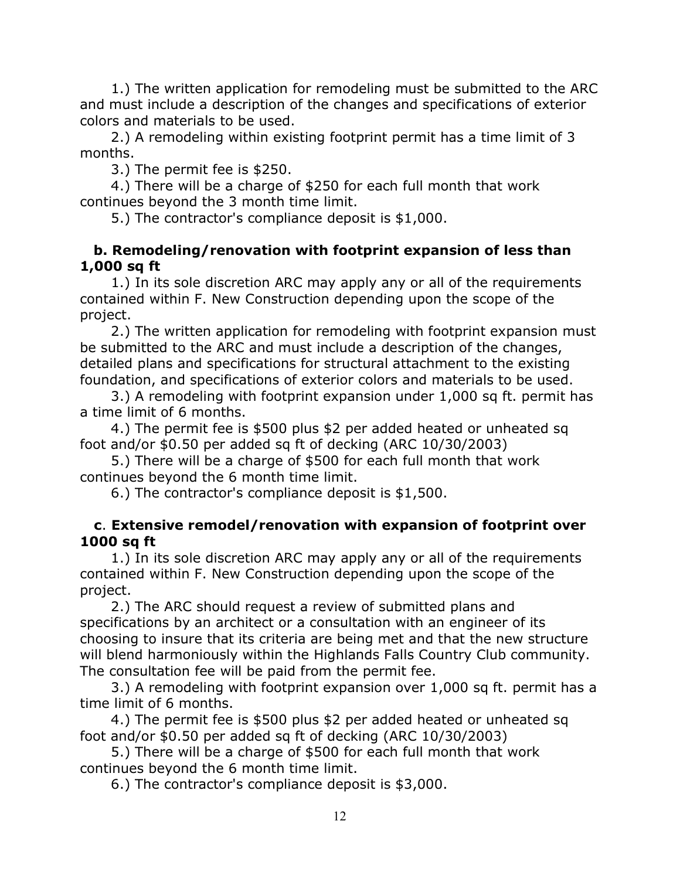1.) The written application for remodeling must be submitted to the ARC and must include a description of the changes and specifications of exterior colors and materials to be used.

 2.) A remodeling within existing footprint permit has a time limit of 3 months.

3.) The permit fee is \$250.

 4.) There will be a charge of \$250 for each full month that work continues beyond the 3 month time limit.

5.) The contractor's compliance deposit is \$1,000.

#### b. Remodeling/renovation with footprint expansion of less than 1,000 sq ft

1.) In its sole discretion ARC may apply any or all of the requirements contained within F. New Construction depending upon the scope of the project.

 2.) The written application for remodeling with footprint expansion must be submitted to the ARC and must include a description of the changes, detailed plans and specifications for structural attachment to the existing foundation, and specifications of exterior colors and materials to be used.

 3.) A remodeling with footprint expansion under 1,000 sq ft. permit has a time limit of 6 months.

 4.) The permit fee is \$500 plus \$2 per added heated or unheated sq foot and/or \$0.50 per added sq ft of decking (ARC 10/30/2003)

 5.) There will be a charge of \$500 for each full month that work continues beyond the 6 month time limit.

6.) The contractor's compliance deposit is \$1,500.

#### c. Extensive remodel/renovation with expansion of footprint over 1000 sq ft

 1.) In its sole discretion ARC may apply any or all of the requirements contained within F. New Construction depending upon the scope of the project.

 2.) The ARC should request a review of submitted plans and specifications by an architect or a consultation with an engineer of its choosing to insure that its criteria are being met and that the new structure will blend harmoniously within the Highlands Falls Country Club community. The consultation fee will be paid from the permit fee.

 3.) A remodeling with footprint expansion over 1,000 sq ft. permit has a time limit of 6 months.

 4.) The permit fee is \$500 plus \$2 per added heated or unheated sq foot and/or \$0.50 per added sq ft of decking (ARC 10/30/2003)

 5.) There will be a charge of \$500 for each full month that work continues beyond the 6 month time limit.

6.) The contractor's compliance deposit is \$3,000.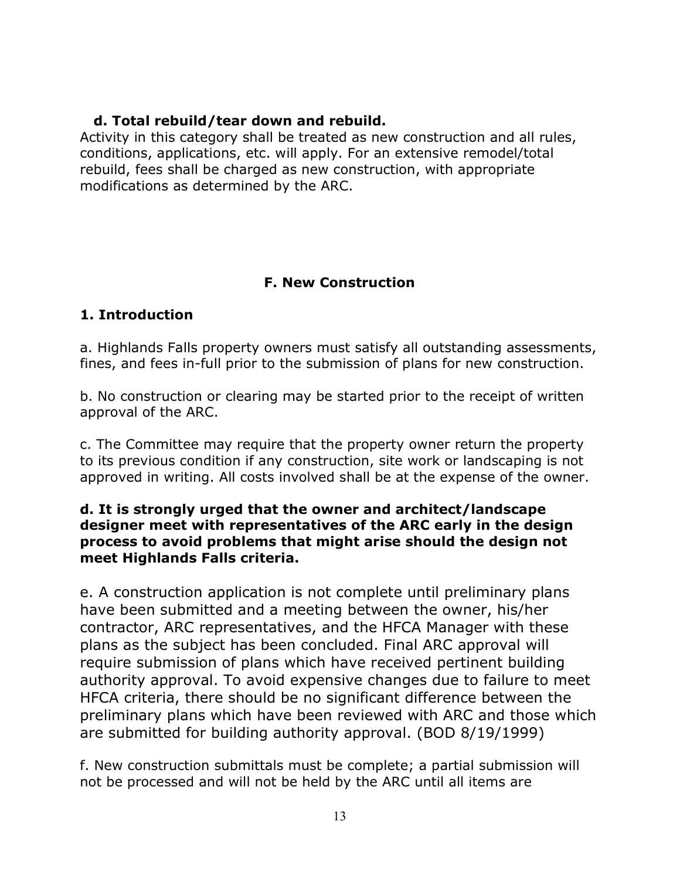#### d. Total rebuild/tear down and rebuild.

Activity in this category shall be treated as new construction and all rules, conditions, applications, etc. will apply. For an extensive remodel/total rebuild, fees shall be charged as new construction, with appropriate modifications as determined by the ARC.

# F. New Construction

# 1. Introduction

a. Highlands Falls property owners must satisfy all outstanding assessments, fines, and fees in-full prior to the submission of plans for new construction.

b. No construction or clearing may be started prior to the receipt of written approval of the ARC.

c. The Committee may require that the property owner return the property to its previous condition if any construction, site work or landscaping is not approved in writing. All costs involved shall be at the expense of the owner.

#### d. It is strongly urged that the owner and architect/landscape designer meet with representatives of the ARC early in the design process to avoid problems that might arise should the design not meet Highlands Falls criteria.

e. A construction application is not complete until preliminary plans have been submitted and a meeting between the owner, his/her contractor, ARC representatives, and the HFCA Manager with these plans as the subject has been concluded. Final ARC approval will require submission of plans which have received pertinent building authority approval. To avoid expensive changes due to failure to meet HFCA criteria, there should be no significant difference between the preliminary plans which have been reviewed with ARC and those which are submitted for building authority approval. (BOD 8/19/1999)

f. New construction submittals must be complete; a partial submission will not be processed and will not be held by the ARC until all items are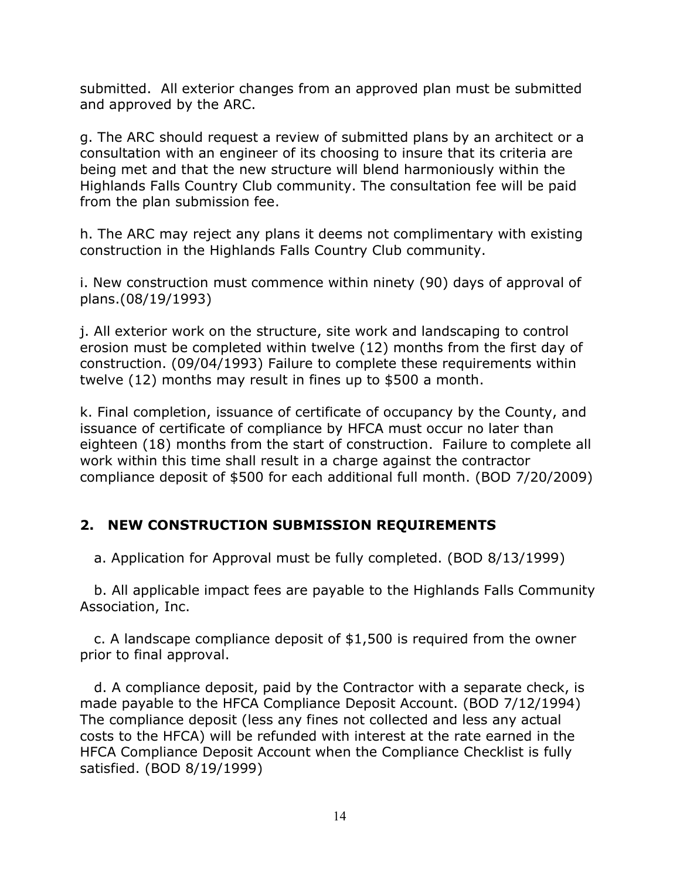submitted. All exterior changes from an approved plan must be submitted and approved by the ARC.

g. The ARC should request a review of submitted plans by an architect or a consultation with an engineer of its choosing to insure that its criteria are being met and that the new structure will blend harmoniously within the Highlands Falls Country Club community. The consultation fee will be paid from the plan submission fee.

h. The ARC may reject any plans it deems not complimentary with existing construction in the Highlands Falls Country Club community.

i. New construction must commence within ninety (90) days of approval of plans.(08/19/1993)

j. All exterior work on the structure, site work and landscaping to control erosion must be completed within twelve (12) months from the first day of construction. (09/04/1993) Failure to complete these requirements within twelve (12) months may result in fines up to \$500 a month.

k. Final completion, issuance of certificate of occupancy by the County, and issuance of certificate of compliance by HFCA must occur no later than eighteen (18) months from the start of construction. Failure to complete all work within this time shall result in a charge against the contractor compliance deposit of \$500 for each additional full month. (BOD 7/20/2009)

# 2. NEW CONSTRUCTION SUBMISSION REQUIREMENTS

a. Application for Approval must be fully completed. (BOD 8/13/1999)

 b. All applicable impact fees are payable to the Highlands Falls Community Association, Inc.

 c. A landscape compliance deposit of \$1,500 is required from the owner prior to final approval.

 d. A compliance deposit, paid by the Contractor with a separate check, is made payable to the HFCA Compliance Deposit Account. (BOD 7/12/1994) The compliance deposit (less any fines not collected and less any actual costs to the HFCA) will be refunded with interest at the rate earned in the HFCA Compliance Deposit Account when the Compliance Checklist is fully satisfied. (BOD 8/19/1999)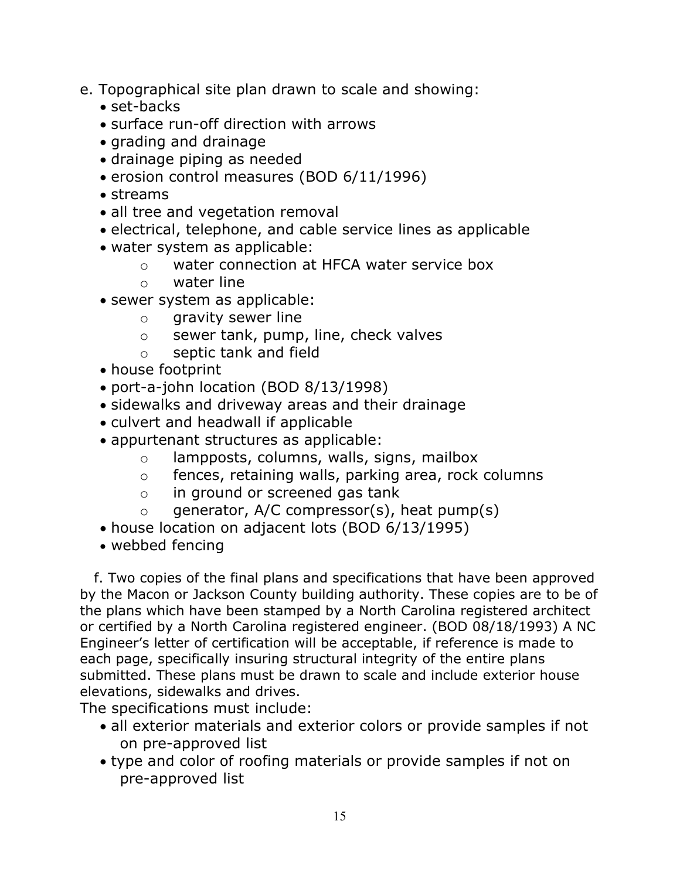- e. Topographical site plan drawn to scale and showing:
	- set-backs
	- surface run-off direction with arrows
	- grading and drainage
	- drainage piping as needed
	- erosion control measures (BOD 6/11/1996)
	- streams
	- all tree and vegetation removal
	- electrical, telephone, and cable service lines as applicable
	- water system as applicable:
		- o water connection at HFCA water service box
		- o water line
	- sewer system as applicable:
		- o gravity sewer line
		- o sewer tank, pump, line, check valves
		- o septic tank and field
	- house footprint
	- port-a-john location (BOD 8/13/1998)
	- sidewalks and driveway areas and their drainage
	- culvert and headwall if applicable
	- appurtenant structures as applicable:
		- o lampposts, columns, walls, signs, mailbox
		- o fences, retaining walls, parking area, rock columns
		- o in ground or screened gas tank
		- $\circ$  generator, A/C compressor(s), heat pump(s)
	- house location on adjacent lots (BOD 6/13/1995)
	- webbed fencing

 f. Two copies of the final plans and specifications that have been approved by the Macon or Jackson County building authority. These copies are to be of the plans which have been stamped by a North Carolina registered architect or certified by a North Carolina registered engineer. (BOD 08/18/1993) A NC Engineer's letter of certification will be acceptable, if reference is made to each page, specifically insuring structural integrity of the entire plans submitted. These plans must be drawn to scale and include exterior house elevations, sidewalks and drives.

The specifications must include:

- all exterior materials and exterior colors or provide samples if not on pre-approved list
- type and color of roofing materials or provide samples if not on pre-approved list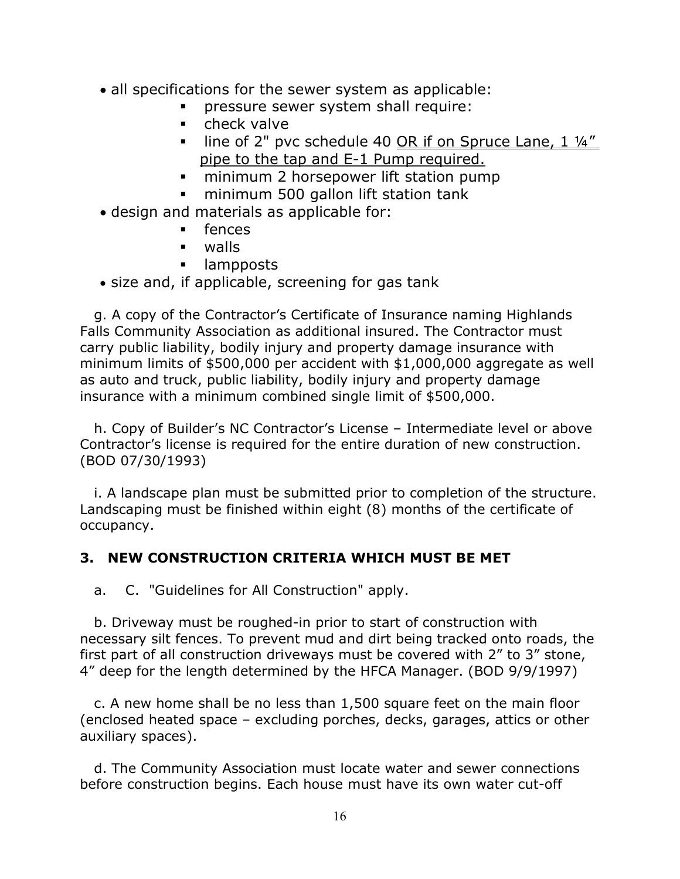- all specifications for the sewer system as applicable:
	- pressure sewer system shall require:
	- **E** check valve
	- $\blacksquare$  line of 2" pvc schedule 40 OR if on Spruce Lane, 1  $\frac{1}{4}$ " pipe to the tap and E-1 Pump required.
	- **F** minimum 2 horsepower lift station pump
	- **minimum 500 gallon lift station tank**
- design and materials as applicable for:
	- **Fences**
	- walls
	- **I** lampposts
- size and, if applicable, screening for gas tank

 g. A copy of the Contractor's Certificate of Insurance naming Highlands Falls Community Association as additional insured. The Contractor must carry public liability, bodily injury and property damage insurance with minimum limits of \$500,000 per accident with \$1,000,000 aggregate as well as auto and truck, public liability, bodily injury and property damage insurance with a minimum combined single limit of \$500,000.

 h. Copy of Builder's NC Contractor's License – Intermediate level or above Contractor's license is required for the entire duration of new construction. (BOD 07/30/1993)

 i. A landscape plan must be submitted prior to completion of the structure. Landscaping must be finished within eight (8) months of the certificate of occupancy.

#### 3. NEW CONSTRUCTION CRITERIA WHICH MUST BE MET

a. C. "Guidelines for All Construction" apply.

 b. Driveway must be roughed-in prior to start of construction with necessary silt fences. To prevent mud and dirt being tracked onto roads, the first part of all construction driveways must be covered with 2" to 3" stone, 4" deep for the length determined by the HFCA Manager. (BOD 9/9/1997)

 c. A new home shall be no less than 1,500 square feet on the main floor (enclosed heated space – excluding porches, decks, garages, attics or other auxiliary spaces).

 d. The Community Association must locate water and sewer connections before construction begins. Each house must have its own water cut-off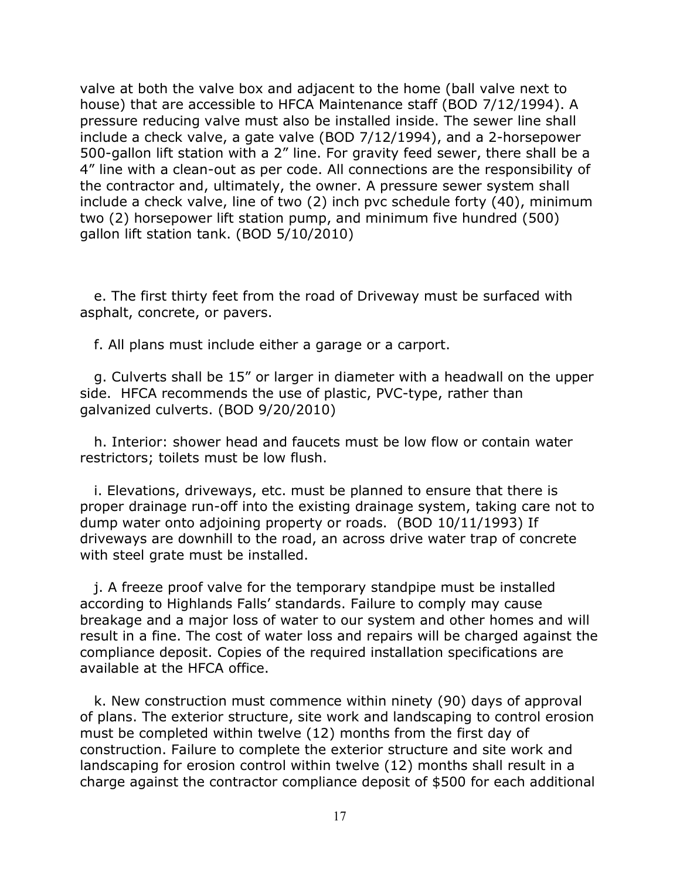valve at both the valve box and adjacent to the home (ball valve next to house) that are accessible to HFCA Maintenance staff (BOD 7/12/1994). A pressure reducing valve must also be installed inside. The sewer line shall include a check valve, a gate valve (BOD 7/12/1994), and a 2-horsepower 500-gallon lift station with a 2" line. For gravity feed sewer, there shall be a 4" line with a clean-out as per code. All connections are the responsibility of the contractor and, ultimately, the owner. A pressure sewer system shall include a check valve, line of two (2) inch pvc schedule forty (40), minimum two (2) horsepower lift station pump, and minimum five hundred (500) gallon lift station tank. (BOD 5/10/2010)

 e. The first thirty feet from the road of Driveway must be surfaced with asphalt, concrete, or pavers.

f. All plans must include either a garage or a carport.

 g. Culverts shall be 15" or larger in diameter with a headwall on the upper side. HFCA recommends the use of plastic, PVC-type, rather than galvanized culverts. (BOD 9/20/2010)

 h. Interior: shower head and faucets must be low flow or contain water restrictors; toilets must be low flush.

 i. Elevations, driveways, etc. must be planned to ensure that there is proper drainage run-off into the existing drainage system, taking care not to dump water onto adjoining property or roads. (BOD 10/11/1993) If driveways are downhill to the road, an across drive water trap of concrete with steel grate must be installed.

 j. A freeze proof valve for the temporary standpipe must be installed according to Highlands Falls' standards. Failure to comply may cause breakage and a major loss of water to our system and other homes and will result in a fine. The cost of water loss and repairs will be charged against the compliance deposit. Copies of the required installation specifications are available at the HFCA office.

 k. New construction must commence within ninety (90) days of approval of plans. The exterior structure, site work and landscaping to control erosion must be completed within twelve (12) months from the first day of construction. Failure to complete the exterior structure and site work and landscaping for erosion control within twelve (12) months shall result in a charge against the contractor compliance deposit of \$500 for each additional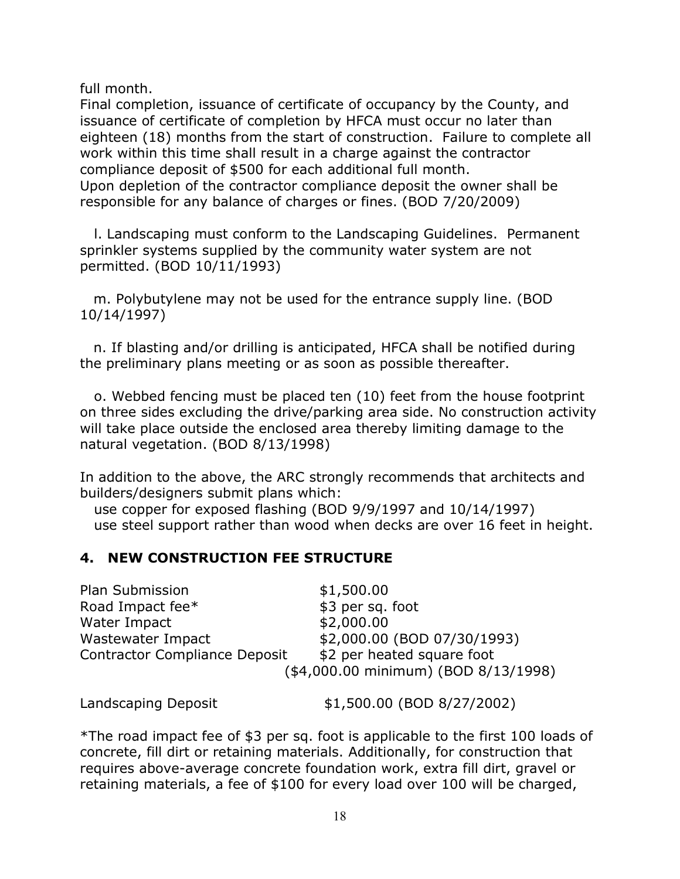full month.

Final completion, issuance of certificate of occupancy by the County, and issuance of certificate of completion by HFCA must occur no later than eighteen (18) months from the start of construction. Failure to complete all work within this time shall result in a charge against the contractor compliance deposit of \$500 for each additional full month. Upon depletion of the contractor compliance deposit the owner shall be responsible for any balance of charges or fines. (BOD 7/20/2009)

 l. Landscaping must conform to the Landscaping Guidelines. Permanent sprinkler systems supplied by the community water system are not permitted. (BOD 10/11/1993)

 m. Polybutylene may not be used for the entrance supply line. (BOD 10/14/1997)

 n. If blasting and/or drilling is anticipated, HFCA shall be notified during the preliminary plans meeting or as soon as possible thereafter.

 o. Webbed fencing must be placed ten (10) feet from the house footprint on three sides excluding the drive/parking area side. No construction activity will take place outside the enclosed area thereby limiting damage to the natural vegetation. (BOD 8/13/1998)

In addition to the above, the ARC strongly recommends that architects and builders/designers submit plans which:

 use copper for exposed flashing (BOD 9/9/1997 and 10/14/1997) use steel support rather than wood when decks are over 16 feet in height.

# 4. NEW CONSTRUCTION FEE STRUCTURE

Plan Submission \$1,500.00 Road Impact fee\* \$3 per sq. foot Water Impact \$2,000.00 Wastewater Impact \$2,000.00 (BOD 07/30/1993) Contractor Compliance Deposit \$2 per heated square foot (\$4,000.00 minimum) (BOD 8/13/1998)

Landscaping Deposit  $$1,500.00$  (BOD 8/27/2002)

\*The road impact fee of \$3 per sq. foot is applicable to the first 100 loads of concrete, fill dirt or retaining materials. Additionally, for construction that requires above-average concrete foundation work, extra fill dirt, gravel or retaining materials, a fee of \$100 for every load over 100 will be charged,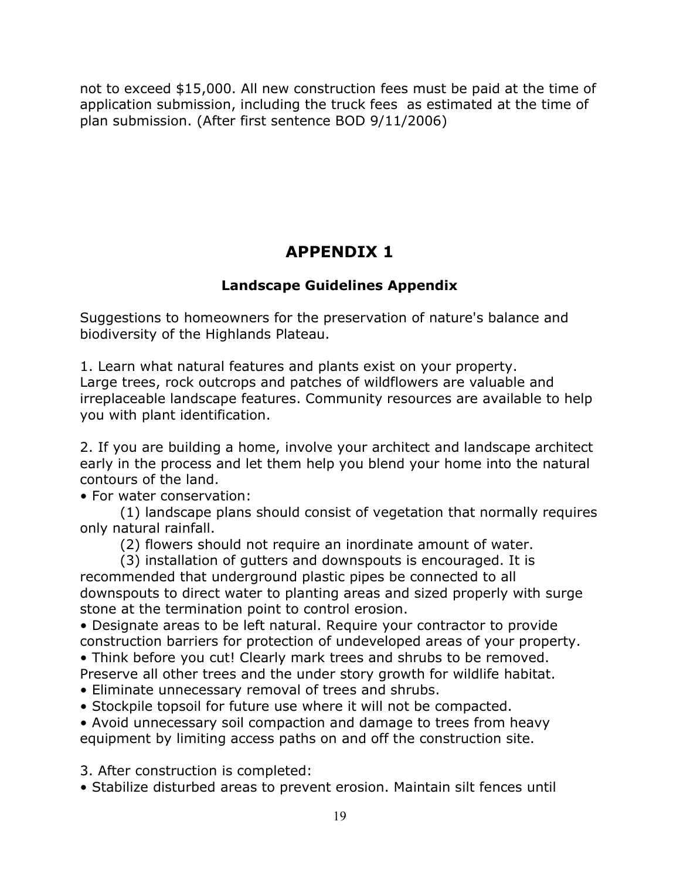not to exceed \$15,000. All new construction fees must be paid at the time of application submission, including the truck fees as estimated at the time of plan submission. (After first sentence BOD 9/11/2006)

# APPENDIX 1

# Landscape Guidelines Appendix

Suggestions to homeowners for the preservation of nature's balance and biodiversity of the Highlands Plateau.

1. Learn what natural features and plants exist on your property. Large trees, rock outcrops and patches of wildflowers are valuable and irreplaceable landscape features. Community resources are available to help you with plant identification.

2. If you are building a home, involve your architect and landscape architect early in the process and let them help you blend your home into the natural contours of the land.

• For water conservation:

 (1) landscape plans should consist of vegetation that normally requires only natural rainfall.

(2) flowers should not require an inordinate amount of water.

 (3) installation of gutters and downspouts is encouraged. It is recommended that underground plastic pipes be connected to all downspouts to direct water to planting areas and sized properly with surge stone at the termination point to control erosion.

• Designate areas to be left natural. Require your contractor to provide construction barriers for protection of undeveloped areas of your property.

• Think before you cut! Clearly mark trees and shrubs to be removed.

- Preserve all other trees and the under story growth for wildlife habitat.
- Eliminate unnecessary removal of trees and shrubs.
- Stockpile topsoil for future use where it will not be compacted.

• Avoid unnecessary soil compaction and damage to trees from heavy equipment by limiting access paths on and off the construction site.

3. After construction is completed:

• Stabilize disturbed areas to prevent erosion. Maintain silt fences until